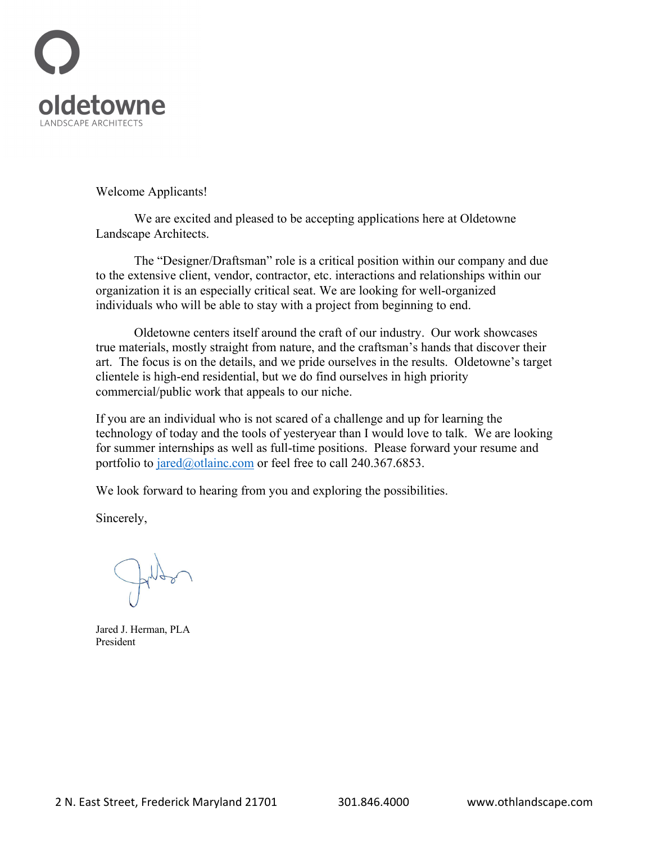

Welcome Applicants!

We are excited and pleased to be accepting applications here at Oldetowne Landscape Architects.

The "Designer/Draftsman" role is a critical position within our company and due to the extensive client, vendor, contractor, etc. interactions and relationships within our organization it is an especially critical seat. We are looking for well-organized individuals who will be able to stay with a project from beginning to end.

Oldetowne centers itself around the craft of our industry. Our work showcases true materials, mostly straight from nature, and the craftsman's hands that discover their art. The focus is on the details, and we pride ourselves in the results. Oldetowne's target clientele is high-end residential, but we do find ourselves in high priority commercial/public work that appeals to our niche.

If you are an individual who is not scared of a challenge and up for learning the technology of today and the tools of yesteryear than I would love to talk. We are looking for summer internships as well as full-time positions. Please forward your resume and portfolio to  $j \text{ are } d(\partial \text{)}$  otlainc.com or feel free to call 240.367.6853.

We look forward to hearing from you and exploring the possibilities.

Sincerely,

Jared J. Herman, PLA President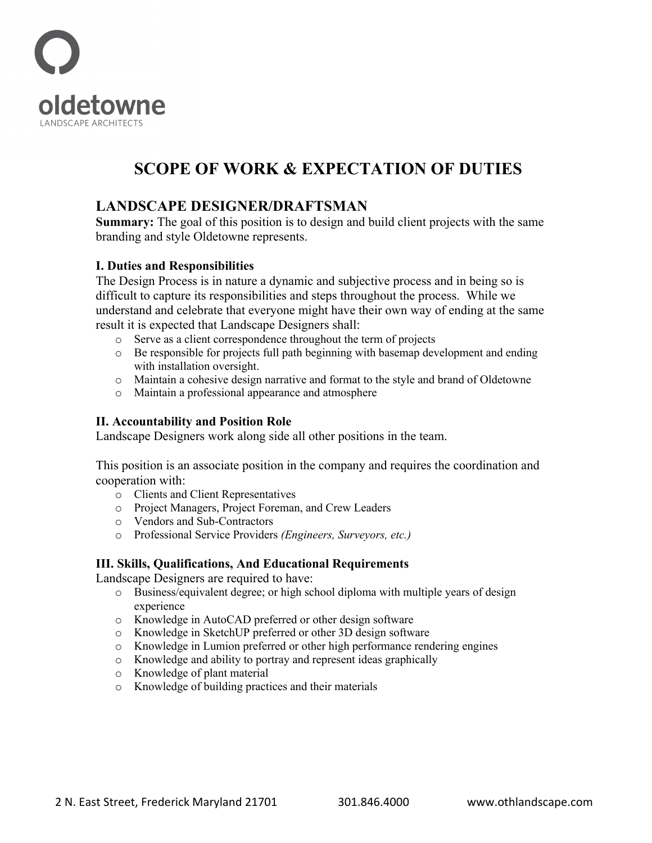

# **SCOPE OF WORK & EXPECTATION OF DUTIES**

### **LANDSCAPE DESIGNER/DRAFTSMAN**

**Summary:** The goal of this position is to design and build client projects with the same branding and style Oldetowne represents.

#### **I. Duties and Responsibilities**

The Design Process is in nature a dynamic and subjective process and in being so is difficult to capture its responsibilities and steps throughout the process. While we understand and celebrate that everyone might have their own way of ending at the same result it is expected that Landscape Designers shall:

- o Serve as a client correspondence throughout the term of projects
- o Be responsible for projects full path beginning with basemap development and ending with installation oversight.
- o Maintain a cohesive design narrative and format to the style and brand of Oldetowne
- o Maintain a professional appearance and atmosphere

#### **II. Accountability and Position Role**

Landscape Designers work along side all other positions in the team.

This position is an associate position in the company and requires the coordination and cooperation with:

- o Clients and Client Representatives
- o Project Managers, Project Foreman, and Crew Leaders
- o Vendors and Sub-Contractors
- o Professional Service Providers *(Engineers, Surveyors, etc.)*

#### **III. Skills, Qualifications, And Educational Requirements**

Landscape Designers are required to have:

- o Business/equivalent degree; or high school diploma with multiple years of design experience
- o Knowledge in AutoCAD preferred or other design software
- o Knowledge in SketchUP preferred or other 3D design software
- o Knowledge in Lumion preferred or other high performance rendering engines
- o Knowledge and ability to portray and represent ideas graphically
- o Knowledge of plant material
- o Knowledge of building practices and their materials